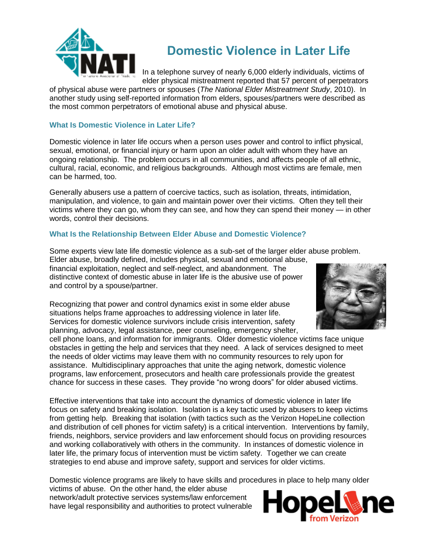

# **Domestic Violence in Later Life**

In a telephone survey of nearly 6,000 elderly individuals, victims of elder physical mistreatment reported that 57 percent of perpetrators

of physical abuse were partners or spouses (*The National Elder Mistreatment Study*, 2010). In another study using self-reported information from elders, spouses/partners were described as the most common perpetrators of emotional abuse and physical abuse.

### **What Is Domestic Violence in Later Life?**

Domestic violence in later life occurs when a person uses power and control to inflict physical, sexual, emotional, or financial injury or harm upon an older adult with whom they have an ongoing relationship. The problem occurs in all communities, and affects people of all ethnic, cultural, racial, economic, and religious backgrounds. Although most victims are female, men can be harmed, too.

Generally abusers use a pattern of coercive tactics, such as isolation, threats, intimidation, manipulation, and violence, to gain and maintain power over their victims. Often they tell their victims where they can go, whom they can see, and how they can spend their money — in other words, control their decisions.

## **What Is the Relationship Between Elder Abuse and Domestic Violence?**

Some experts view late life domestic violence as a sub-set of the larger elder abuse problem.

Elder abuse, broadly defined, includes physical, sexual and emotional abuse, financial exploitation, neglect and self-neglect, and abandonment. The distinctive context of domestic abuse in later life is the abusive use of power and control by a spouse/partner.

Recognizing that power and control dynamics exist in some elder abuse situations helps frame approaches to addressing violence in later life. Services for domestic violence survivors include crisis intervention, safety planning, advocacy, legal assistance, peer counseling, emergency shelter,

cell phone loans, and information for immigrants. Older domestic violence victims face unique obstacles in getting the help and services that they need. A lack of services designed to meet the needs of older victims may leave them with no community resources to rely upon for assistance. Multidisciplinary approaches that unite the aging network, domestic violence programs, law enforcement, prosecutors and health care professionals provide the greatest chance for success in these cases. They provide "no wrong doors" for older abused victims.

Effective interventions that take into account the dynamics of domestic violence in later life focus on safety and breaking isolation. Isolation is a key tactic used by abusers to keep victims from getting help. Breaking that isolation (with tactics such as the Verizon HopeLine collection and distribution of cell phones for victim safety) is a critical intervention. Interventions by family, friends, neighbors, service providers and law enforcement should focus on providing resources and working collaboratively with others in the community. In instances of domestic violence in later life, the primary focus of intervention must be victim safety. Together we can create strategies to end abuse and improve safety, support and services for older victims.

Domestic violence programs are likely to have skills and procedures in place to help many older

victims of abuse. On the other hand, the elder abuse network/adult protective services systems/law enforcement have legal responsibility and authorities to protect vulnerable